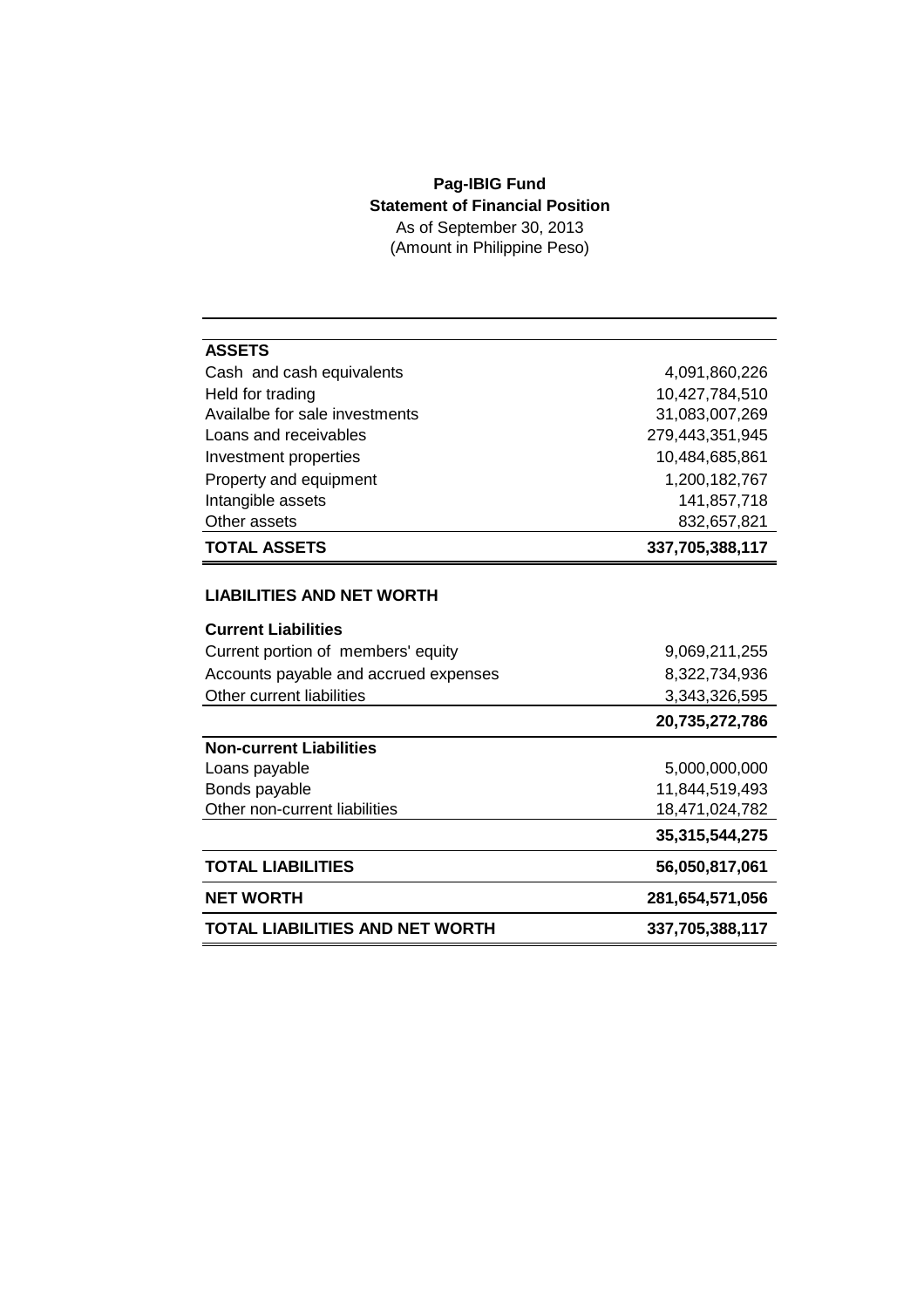## **Pag-IBIG Fund Statement of Financial Position** As of September 30, 2013

(Amount in Philippine Peso)

| <b>ASSETS</b>                         |                 |
|---------------------------------------|-----------------|
| Cash and cash equivalents             | 4,091,860,226   |
| Held for trading                      | 10,427,784,510  |
| Availalbe for sale investments        | 31,083,007,269  |
| Loans and receivables                 | 279,443,351,945 |
| Investment properties                 | 10,484,685,861  |
| Property and equipment                | 1,200,182,767   |
| Intangible assets                     | 141,857,718     |
| Other assets                          | 832,657,821     |
| <b>TOTAL ASSETS</b>                   | 337,705,388,117 |
|                                       |                 |
| <b>LIABILITIES AND NET WORTH</b>      |                 |
| <b>Current Liabilities</b>            |                 |
| Current portion of members' equity    | 9,069,211,255   |
| Accounts payable and accrued expenses | 8,322,734,936   |
| Other current liabilities             | 3,343,326,595   |
|                                       | 20,735,272,786  |
| <b>Non-current Liabilities</b>        |                 |
| Loans payable                         | 5,000,000,000   |
| Bonds payable                         | 11,844,519,493  |
| Other non-current liabilities         | 18,471,024,782  |
|                                       | 35,315,544,275  |
| <b>TOTAL LIABILITIES</b>              | 56,050,817,061  |
| <b>NET WORTH</b>                      | 281,654,571,056 |
| TOTAL LIABILITIES AND NET WORTH       | 337,705,388,117 |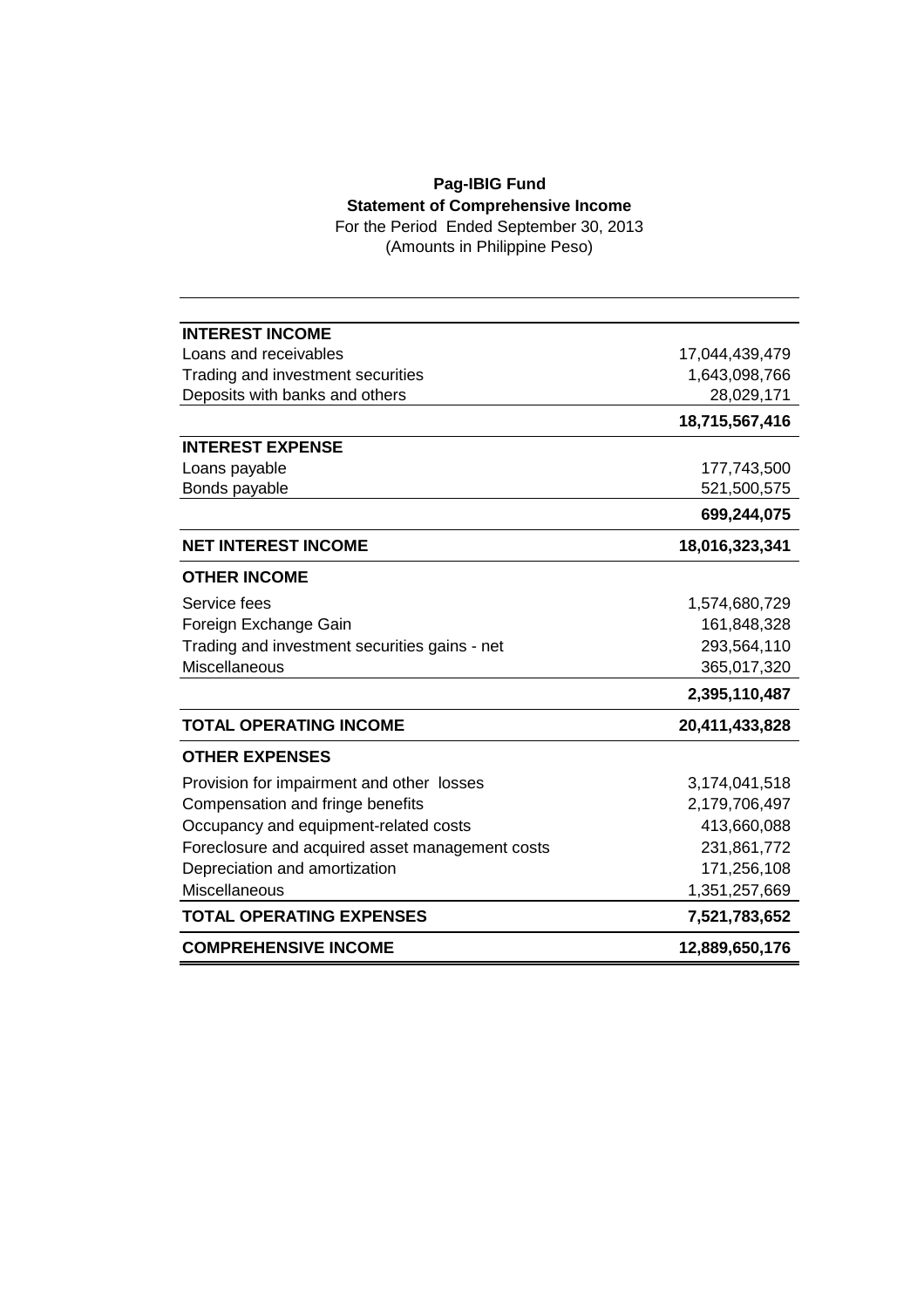## **Pag-IBIG Fund Statement of Comprehensive Income**

For the Period Ended September 30, 2013 (Amounts in Philippine Peso)

| <b>INTEREST INCOME</b>                          |                |
|-------------------------------------------------|----------------|
| Loans and receivables                           | 17,044,439,479 |
| Trading and investment securities               | 1,643,098,766  |
| Deposits with banks and others                  | 28,029,171     |
|                                                 | 18,715,567,416 |
| <b>INTEREST EXPENSE</b>                         |                |
| Loans payable                                   | 177,743,500    |
| Bonds payable                                   | 521,500,575    |
|                                                 | 699,244,075    |
| <b>NET INTEREST INCOME</b>                      | 18,016,323,341 |
| <b>OTHER INCOME</b>                             |                |
| Service fees                                    | 1,574,680,729  |
| Foreign Exchange Gain                           | 161,848,328    |
| Trading and investment securities gains - net   | 293,564,110    |
| <b>Miscellaneous</b>                            | 365,017,320    |
|                                                 | 2,395,110,487  |
| <b>TOTAL OPERATING INCOME</b>                   | 20,411,433,828 |
| <b>OTHER EXPENSES</b>                           |                |
| Provision for impairment and other losses       | 3,174,041,518  |
| Compensation and fringe benefits                | 2,179,706,497  |
| Occupancy and equipment-related costs           | 413,660,088    |
| Foreclosure and acquired asset management costs | 231,861,772    |
| Depreciation and amortization                   | 171,256,108    |
| Miscellaneous                                   | 1,351,257,669  |
| <b>TOTAL OPERATING EXPENSES</b>                 | 7,521,783,652  |
| <b>COMPREHENSIVE INCOME</b>                     | 12,889,650,176 |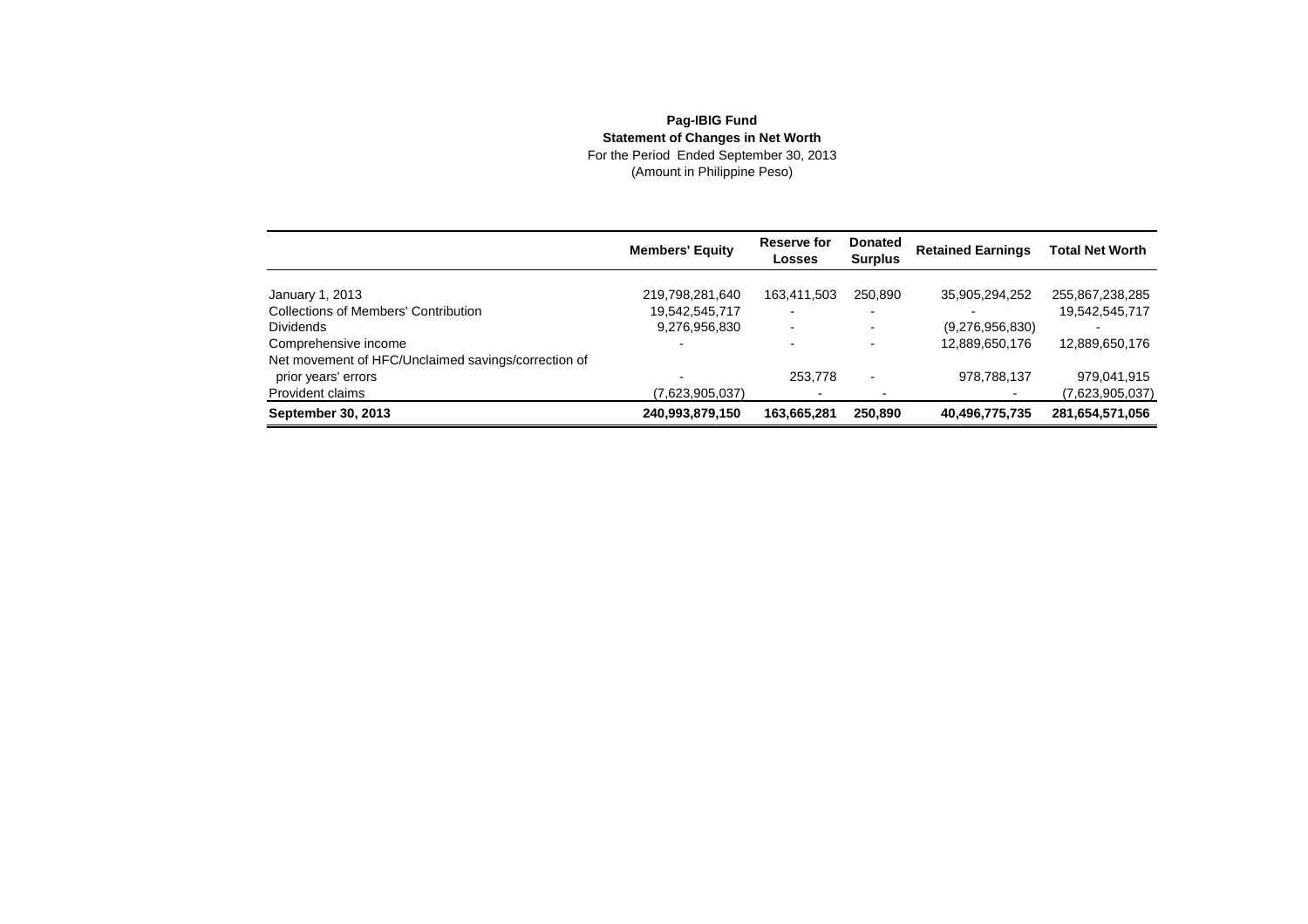## **Pag-IBIG FundStatement of Changes in Net Worth**<br>For the Period Ended September 30, 2013<br>(Amount in Philippine Peso)

|                                                     | <b>Members' Equity</b> | Reserve for<br>Losses    | <b>Donated</b><br><b>Surplus</b> | <b>Retained Earnings</b> | <b>Total Net Worth</b> |
|-----------------------------------------------------|------------------------|--------------------------|----------------------------------|--------------------------|------------------------|
| January 1, 2013                                     | 219,798,281,640        | 163,411,503              | 250,890                          | 35,905,294,252           | 255,867,238,285        |
| <b>Collections of Members' Contribution</b>         | 19,542,545,717         | $\overline{\phantom{0}}$ |                                  |                          | 19,542,545,717         |
| <b>Dividends</b>                                    | 9,276,956,830          | $\overline{\phantom{0}}$ |                                  | (9,276,956,830)          |                        |
| Comprehensive income                                |                        |                          |                                  | 12,889,650,176           | 12,889,650,176         |
| Net movement of HFC/Unclaimed savings/correction of |                        |                          |                                  |                          |                        |
| prior years' errors                                 |                        | 253,778                  |                                  | 978,788,137              | 979,041,915            |
| Provident claims                                    | (7,623,905,037)        |                          |                                  |                          | (7,623,905,037)        |
| September 30, 2013                                  | 240,993,879,150        | 163,665,281              | 250,890                          | 40,496,775,735           | 281,654,571,056        |